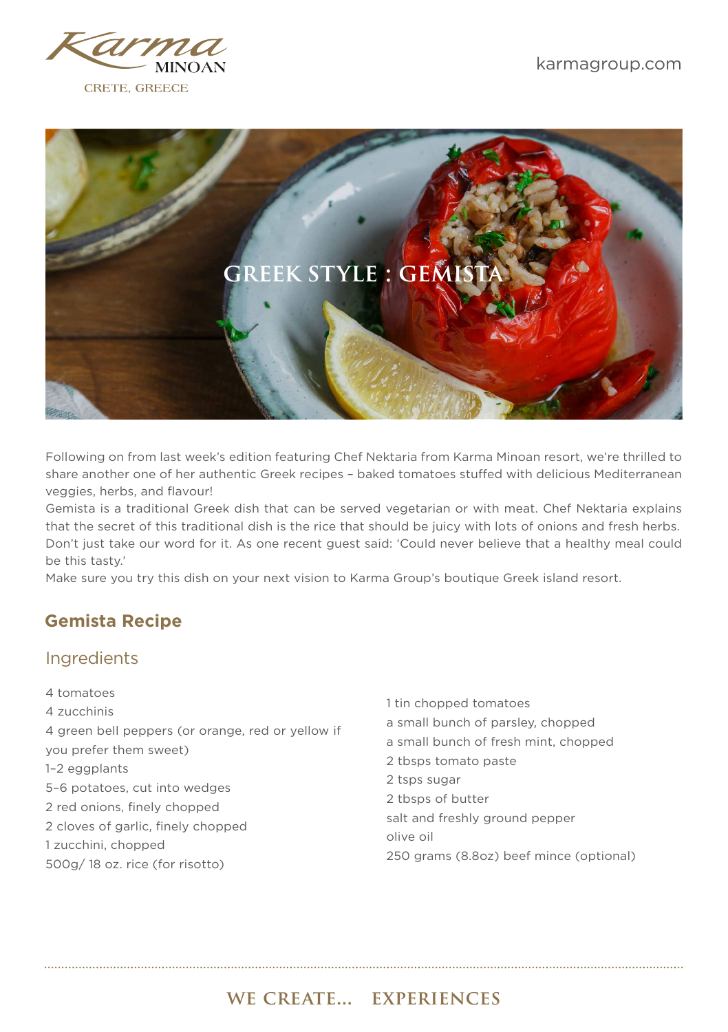



Following on from last week's edition featuring Chef Nektaria from Karma Minoan resort, we're thrilled to share another one of her authentic Greek recipes – baked tomatoes stuffed with delicious Mediterranean veggies, herbs, and flavour!

Gemista is a traditional Greek dish that can be served vegetarian or with meat. Chef Nektaria explains that the secret of this traditional dish is the rice that should be juicy with lots of onions and fresh herbs. Don't just take our word for it. As one recent guest said: 'Could never believe that a healthy meal could be this tasty.'

Make sure you try this dish on your next vision to Karma Group's boutique Greek island resort.

## **Gemista Recipe**

#### Ingredients

- 4 tomatoes 4 zucchinis 4 green bell peppers (or orange, red or yellow if you prefer them sweet) 1–2 eggplants 5–6 potatoes, cut into wedges 2 red onions, finely chopped 2 cloves of garlic, finely chopped 1 zucchini, chopped 500g/ 18 oz. rice (for risotto)
- 1 tin chopped tomatoes a small bunch of parsley, chopped a small bunch of fresh mint, chopped 2 tbsps tomato paste 2 tsps sugar 2 tbsps of butter salt and freshly ground pepper olive oil 250 grams (8.8oz) beef mince (optional)

## we create... experiences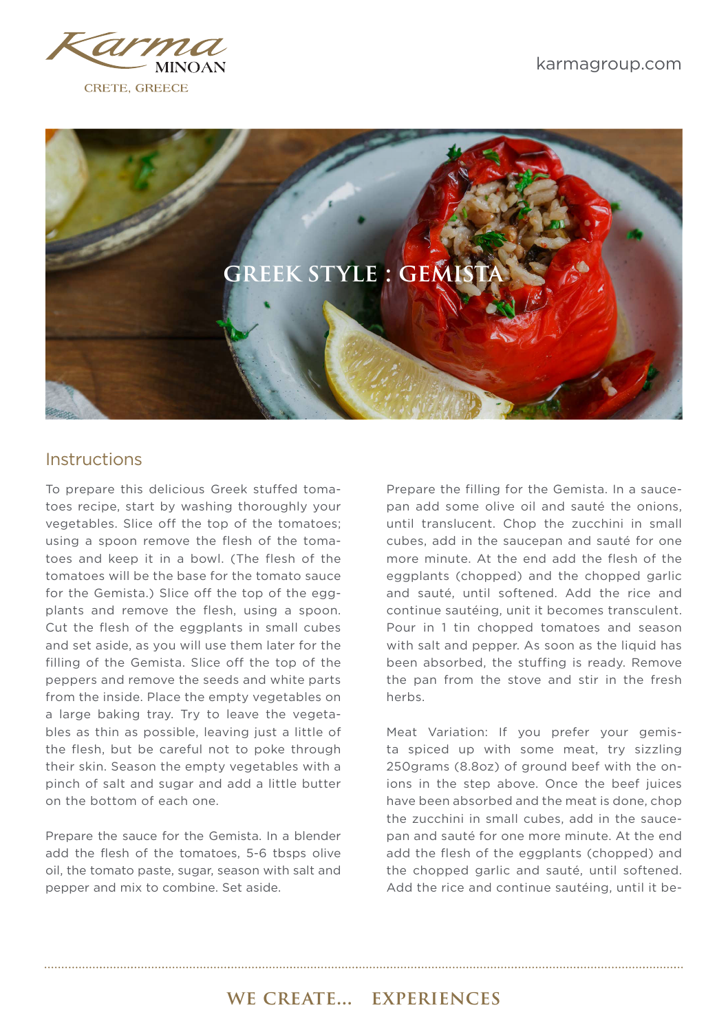



#### **Instructions**

To prepare this delicious Greek stuffed tomatoes recipe, start by washing thoroughly your vegetables. Slice off the top of the tomatoes; using a spoon remove the flesh of the tomatoes and keep it in a bowl. (The flesh of the tomatoes will be the base for the tomato sauce for the Gemista.) Slice off the top of the eggplants and remove the flesh, using a spoon. Cut the flesh of the eggplants in small cubes and set aside, as you will use them later for the filling of the Gemista. Slice off the top of the peppers and remove the seeds and white parts from the inside. Place the empty vegetables on a large baking tray. Try to leave the vegetables as thin as possible, leaving just a little of the flesh, but be careful not to poke through their skin. Season the empty vegetables with a pinch of salt and sugar and add a little butter on the bottom of each one.

Prepare the sauce for the Gemista. In a blender add the flesh of the tomatoes, 5-6 tbsps olive oil, the tomato paste, sugar, season with salt and pepper and mix to combine. Set aside.

Prepare the filling for the Gemista. In a saucepan add some olive oil and sauté the onions, until translucent. Chop the zucchini in small cubes, add in the saucepan and sauté for one more minute. At the end add the flesh of the eggplants (chopped) and the chopped garlic and sauté, until softened. Add the rice and continue sautéing, unit it becomes transculent. Pour in 1 tin chopped tomatoes and season with salt and pepper. As soon as the liquid has been absorbed, the stuffing is ready. Remove the pan from the stove and stir in the fresh herbs.

Meat Variation: If you prefer your gemista spiced up with some meat, try sizzling 250grams (8.8oz) of ground beef with the onions in the step above. Once the beef juices have been absorbed and the meat is done, chop the zucchini in small cubes, add in the saucepan and sauté for one more minute. At the end add the flesh of the eggplants (chopped) and the chopped garlic and sauté, until softened. Add the rice and continue sautéing, until it be-

# we create... experiences